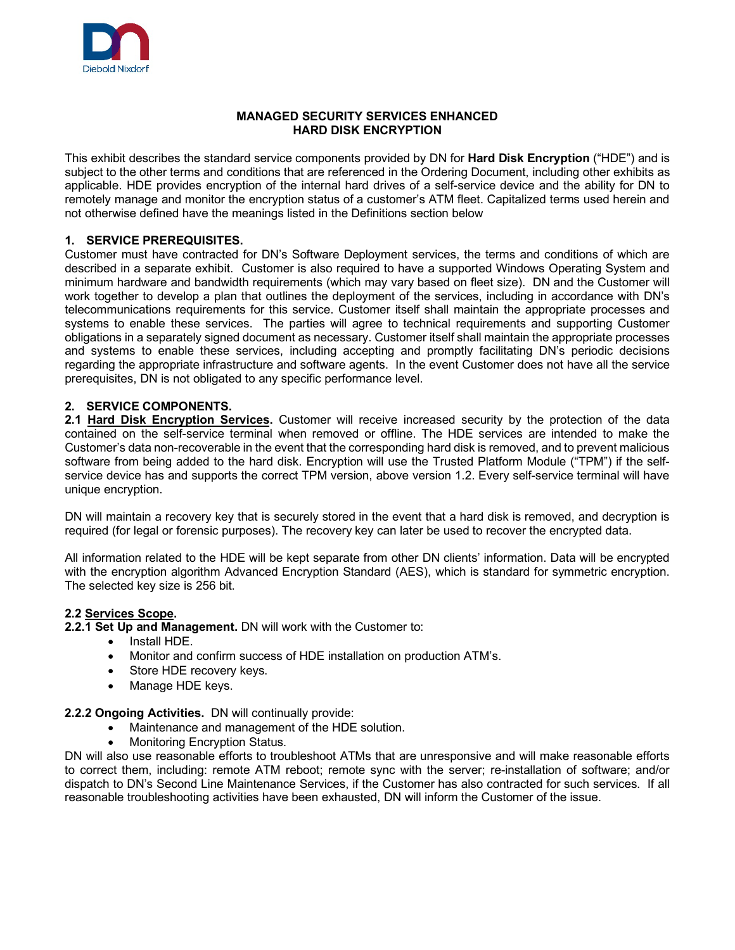

## **MANAGED SECURITY SERVICES ENHANCED HARD DISK ENCRYPTION**

This exhibit describes the standard service components provided by DN for **Hard Disk Encryption** ("HDE") and is subject to the other terms and conditions that are referenced in the Ordering Document, including other exhibits as applicable. HDE provides encryption of the internal hard drives of a self-service device and the ability for DN to remotely manage and monitor the encryption status of a customer's ATM fleet. Capitalized terms used herein and not otherwise defined have the meanings listed in the Definitions section below

# **1. SERVICE PREREQUISITES.**

Customer must have contracted for DN's Software Deployment services, the terms and conditions of which are described in a separate exhibit. Customer is also required to have a supported Windows Operating System and minimum hardware and bandwidth requirements (which may vary based on fleet size). DN and the Customer will work together to develop a plan that outlines the deployment of the services, including in accordance with DN's telecommunications requirements for this service. Customer itself shall maintain the appropriate processes and systems to enable these services. The parties will agree to technical requirements and supporting Customer obligations in a separately signed document as necessary. Customer itself shall maintain the appropriate processes and systems to enable these services, including accepting and promptly facilitating DN's periodic decisions regarding the appropriate infrastructure and software agents. In the event Customer does not have all the service prerequisites, DN is not obligated to any specific performance level.

## **2. SERVICE COMPONENTS.**

**2.1 Hard Disk Encryption Services.** Customer will receive increased security by the protection of the data contained on the self-service terminal when removed or offline. The HDE services are intended to make the Customer's data non-recoverable in the event that the corresponding hard disk is removed, and to prevent malicious software from being added to the hard disk. Encryption will use the Trusted Platform Module ("TPM") if the selfservice device has and supports the correct TPM version, above version 1.2. Every self-service terminal will have unique encryption.

DN will maintain a recovery key that is securely stored in the event that a hard disk is removed, and decryption is required (for legal or forensic purposes). The recovery key can later be used to recover the encrypted data.

All information related to the HDE will be kept separate from other DN clients' information. Data will be encrypted with the encryption algorithm Advanced Encryption Standard (AES), which is standard for symmetric encryption. The selected key size is 256 bit.

## **2.2 Services Scope.**

**2.2.1 Set Up and Management.** DN will work with the Customer to:

- Install HDE.
- Monitor and confirm success of HDE installation on production ATM's.
- Store HDE recovery keys.
- Manage HDE keys.

#### **2.2.2 Ongoing Activities.** DN will continually provide:

- Maintenance and management of the HDE solution.
	- Monitoring Encryption Status.

DN will also use reasonable efforts to troubleshoot ATMs that are unresponsive and will make reasonable efforts to correct them, including: remote ATM reboot; remote sync with the server; re-installation of software; and/or dispatch to DN's Second Line Maintenance Services, if the Customer has also contracted for such services. If all reasonable troubleshooting activities have been exhausted, DN will inform the Customer of the issue.